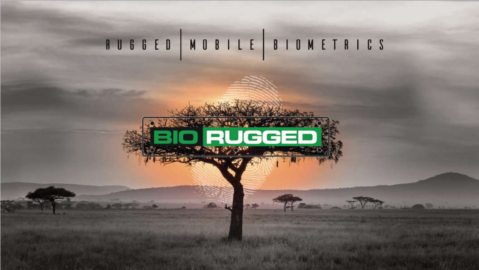# RUGGED MOBILE BIOMETRICS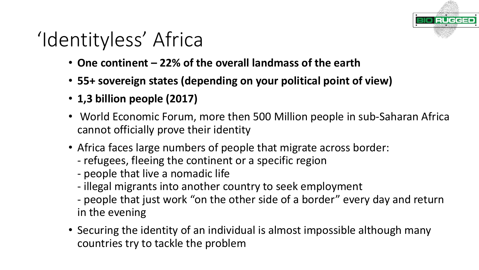# **RUGGE**

## 'Identityless' Africa

- One continent 22% of the overall landmass of the earth
- 55+ sovereign states (depending on your political point of view)
- **1,3 billion people (2017)**
- World Economic Forum, more then 500 Million people in sub-Saharan Africa cannot officially prove their identity
- Africa faces large numbers of people that migrate across border:
	- refugees, fleeing the continent or a specific region
	- people that live a nomadic life
	- illegal migrants into another country to seek employment
	- people that just work "on the other side of a border" every day and return in the evening
- Securing the identity of an individual is almost impossible although many countries try to tackle the problem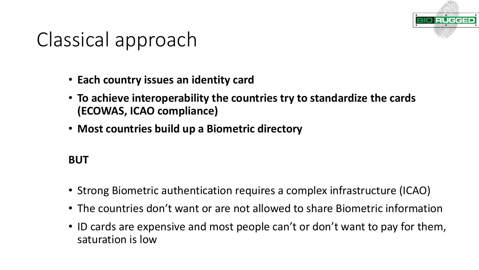

## Classical approach

- **Each country issues an identity card**
- To achieve interoperability the countries try to standardize the cards **(ECOWAS, ICAO compliance)**
- Most countries build up a Biometric directory

### **BUT**

- Strong Biometric authentication requires a complex infrastructure (ICAO)
- The countries don't want or are not allowed to share Biometric information
- ID cards are expensive and most people can't or don't want to pay for them, saturation is low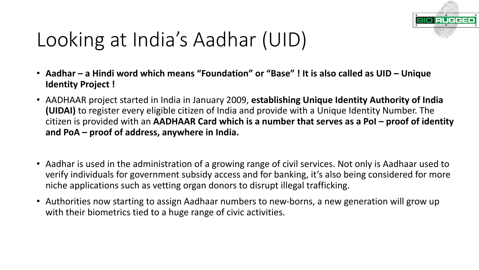

## Looking at India's Aadhar (UID)

- Aadhar a Hindi word which means "Foundation" or "Base" ! It is also called as UID Unique **Identity Project!**
- AADHAAR project started in India in January 2009, **establishing Unique Identity Authority of India (UIDAI)** to register every eligible citizen of India and provide with a Unique Identity Number. The citizen is provided with an AADHAAR Card which is a number that serves as a PoI – proof of identity and PoA – proof of address, anywhere in India.
- Aadhar is used in the administration of a growing range of civil services. Not only is Aadhaar used to verify individuals for government subsidy access and for banking, it's also being considered for more niche applications such as vetting organ donors to disrupt illegal trafficking.
- Authorities now starting to assign Aadhaar numbers to new-borns, a new generation will grow up with their biometrics tied to a huge range of civic activities.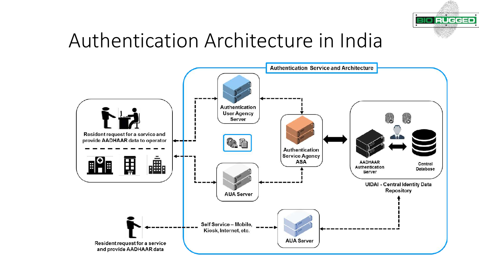

### Authentication Architecture in India

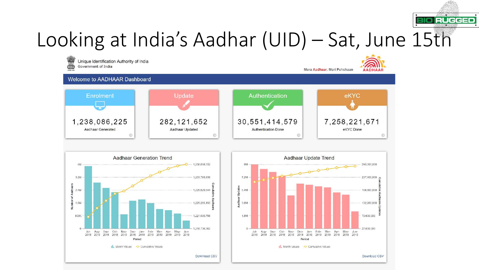

### Looking at India's Aadhar (UID) – Sat, June 15th

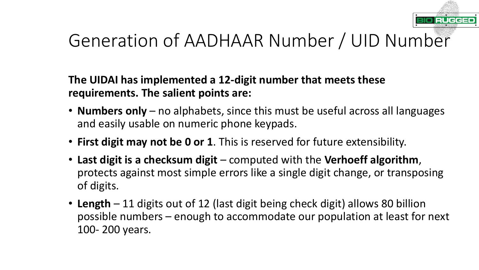

### Generation of AADHAAR Number / UID Number

### The UIDAI has implemented a 12-digit number that meets these **requirements. The salient points are:**

- **Numbers only** no alphabets, since this must be useful across all languages and easily usable on numeric phone keypads.
- First digit may not be 0 or 1. This is reserved for future extensibility.
- Last digit is a checksum digit computed with the Verhoeff algorithm, protects against most simple errors like a single digit change, or transposing of digits.
- Length 11 digits out of 12 (last digit being check digit) allows 80 billion possible numbers – enough to accommodate our population at least for next 100-200 years.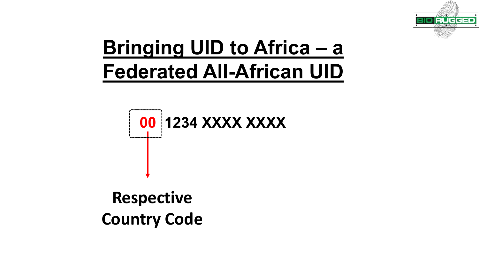

### Bringing UID to Africa - a **Federated All-African UID**

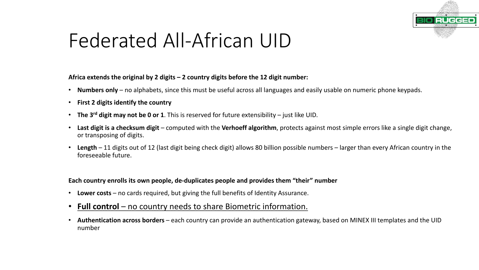

### Federated All-African UID

Africa extends the original by 2 digits – 2 country digits before the 12 digit number:

- Numbers only no alphabets, since this must be useful across all languages and easily usable on numeric phone keypads.
- **First 2 digits identify the country**
- The 3<sup>rd</sup> digit may not be 0 or 1. This is reserved for future extensibility just like UID.
- **Last digit is a checksum digit** computed with the **Verhoeff algorithm**, protects against most simple errors like a single digit change, or transposing of digits.
- **Length** 11 digits out of 12 (last digit being check digit) allows 80 billion possible numbers larger than every African country in the foreseeable future.

Each country enrolls its own people, de-duplicates people and provides them "their" number

- Lower costs no cards required, but giving the full benefits of Identity Assurance.
- **Full control** no country needs to share Biometric information.
- Authentication across borders each country can provide an authentication gateway, based on MINEX III templates and the UID number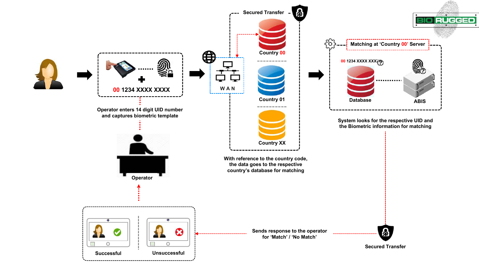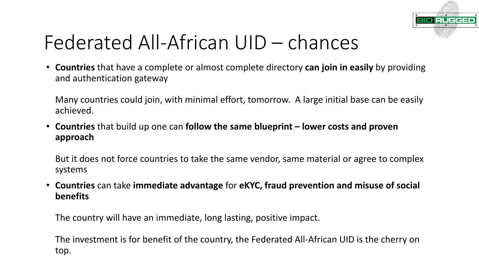

### Federated All-African UID – chances

• **Countries** that have a complete or almost complete directory **can join in easily** by providing and authentication gateway

Many countries could join, with minimal effort, tomorrow. A large initial base can be easily achieved.

• Countries that build up one can **follow the same blueprint** – lower costs and proven **approach**

But it does not force countries to take the same vendor, same material or agree to complex systems

• Countries can take immediate advantage for eKYC, fraud prevention and misuse of social **benefits**

The country will have an immediate, long lasting, positive impact.

The investment is for benefit of the country, the Federated All-African UID is the cherry on top.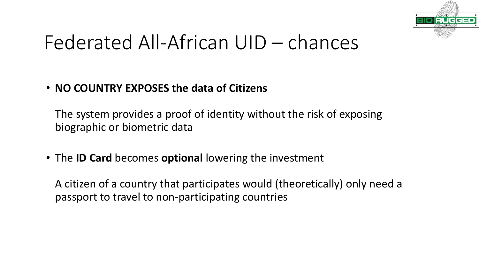

### Federated All-African UID – chances

#### • **NO COUNTRY EXPOSES the data of Citizens**

The system provides a proof of identity without the risk of exposing biographic or biometric data

• The **ID Card** becomes **optional** lowering the investment

A citizen of a country that participates would (theoretically) only need a passport to travel to non-participating countries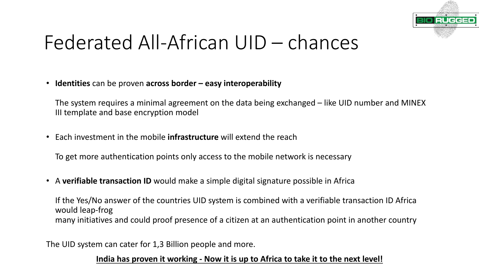

### Federated All-African UID – chances

• **Identities** can be proven **across border** – easy interoperability

The system requires a minimal agreement on the data being exchanged – like UID number and MINEX III template and base encryption model

• Each investment in the mobile **infrastructure** will extend the reach

To get more authentication points only access to the mobile network is necessary

• A verifiable transaction ID would make a simple digital signature possible in Africa

If the Yes/No answer of the countries UID system is combined with a verifiable transaction ID Africa would leap-frog many initiatives and could proof presence of a citizen at an authentication point in another country

The UID system can cater for 1,3 Billion people and more.

#### **India has proven it working - Now it is up to Africa to take it to the next level!**